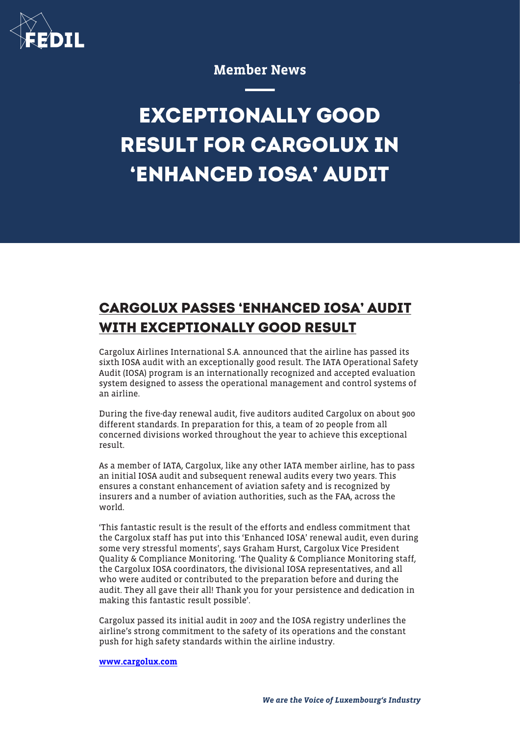

## Member News

## **EXCEPTIONALLY GOOD RESULT FOR CARGOLUX IN 'ENHANCED IOSA' AUDIT**

## **CARGOLUX PASSES 'ENHANCED IOSA' AUDIT WITH EXCEPTIONALLY GOOD RESULT**

Cargolux Airlines International S.A. announced that the airline has passed its sixth IOSA audit with an exceptionally good result. The IATA Operational Safety Audit (IOSA) program is an internationally recognized and accepted evaluation system designed to assess the operational management and control systems of an airline.

During the five-day renewal audit, five auditors audited Cargolux on about 900 different standards. In preparation for this, a team of 20 people from all concerned divisions worked throughout the year to achieve this exceptional result.

As a member of IATA, Cargolux, like any other IATA member airline, has to pass an initial IOSA audit and subsequent renewal audits every two years. This ensures a constant enhancement of aviation safety and is recognized by insurers and a number of aviation authorities, such as the FAA, across the world.

'This fantastic result is the result of the efforts and endless commitment that the Cargolux staff has put into this 'Enhanced IOSA' renewal audit, even during some very stressful moments', says Graham Hurst, Cargolux Vice President Quality & Compliance Monitoring. 'The Quality & Compliance Monitoring staff, the Cargolux IOSA coordinators, the divisional IOSA representatives, and all who were audited or contributed to the preparation before and during the audit. They all gave their all! Thank you for your persistence and dedication in making this fantastic result possible'.

Cargolux passed its initial audit in 2007 and the IOSA registry underlines the airline's strong commitment to the safety of its operations and the constant push for high safety standards within the airline industry.

## [www.cargolux.com](http://www.cargolux.com)